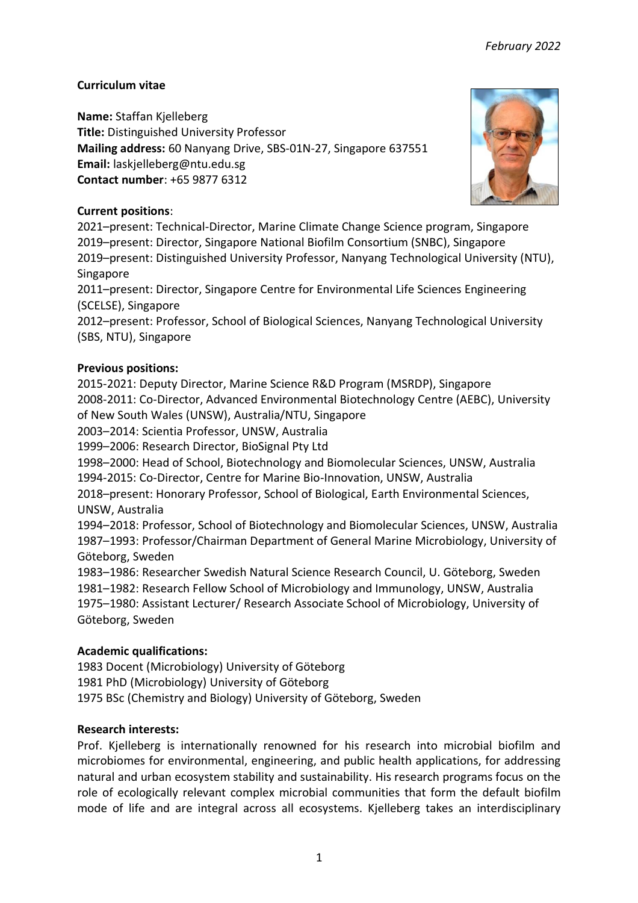## **Curriculum vitae**

**Name:** Staffan Kjelleberg **Title:** Distinguished University Professor **Mailing address:** 60 Nanyang Drive, SBS‐01N‐27, Singapore 637551 **Email:** laskjelleberg@ntu.edu.sg **Contact number**: +65 9877 6312



## **Current positions**:

–present: Technical-Director, Marine Climate Change Science program, Singapore –present: Director, Singapore National Biofilm Consortium (SNBC), Singapore –present: Distinguished University Professor, Nanyang Technological University (NTU), Singapore

2011–present: Director, Singapore Centre for Environmental Life Sciences Engineering (SCELSE), Singapore

2012–present: Professor, School of Biological Sciences, Nanyang Technological University (SBS, NTU), Singapore

### **Previous positions:**

2015-2021: Deputy Director, Marine Science R&D Program (MSRDP), Singapore 2008-2011: Co-Director, Advanced Environmental Biotechnology Centre (AEBC), University of New South Wales (UNSW), Australia/NTU, Singapore 2003–2014: Scientia Professor, UNSW, Australia 1999–2006: Research Director, BioSignal Pty Ltd 1998–2000: Head of School, Biotechnology and Biomolecular Sciences, UNSW, Australia 1994-2015: Co-Director, Centre for Marine Bio-Innovation, UNSW, Australia 2018–present: Honorary Professor, School of Biological, Earth Environmental Sciences, UNSW, Australia 1994–2018: Professor, School of Biotechnology and Biomolecular Sciences, UNSW, Australia 1987–1993: Professor/Chairman Department of General Marine Microbiology, University of Göteborg, Sweden 1983–1986: Researcher Swedish Natural Science Research Council, U. Göteborg, Sweden 1981–1982: Research Fellow School of Microbiology and Immunology, UNSW, Australia 1975–1980: Assistant Lecturer/ Research Associate School of Microbiology, University of

Göteborg, Sweden

# **Academic qualifications:**

1983 Docent (Microbiology) University of Göteborg 1981 PhD (Microbiology) University of Göteborg 1975 BSc (Chemistry and Biology) University of Göteborg, Sweden

### **Research interests:**

Prof. Kjelleberg is internationally renowned for his research into microbial biofilm and microbiomes for environmental, engineering, and public health applications, for addressing natural and urban ecosystem stability and sustainability. His research programs focus on the role of ecologically relevant complex microbial communities that form the default biofilm mode of life and are integral across all ecosystems. Kjelleberg takes an interdisciplinary